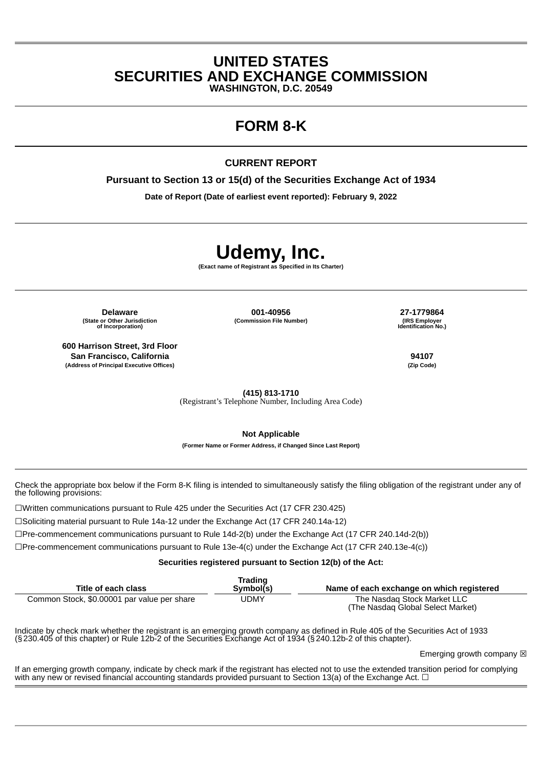## **UNITED STATES SECURITIES AND EXCHANGE COMMISSION**

**WASHINGTON, D.C. 20549**

## **FORM 8-K**

#### **CURRENT REPORT**

**Pursuant to Section 13 or 15(d) of the Securities Exchange Act of 1934**

**Date of Report (Date of earliest event reported): February 9, 2022**

# **Udemy, Inc.**

**(Exact name of Registrant as Specified in Its Charter)**

**(State or Other Jurisdiction of Incorporation)**

**600 Harrison Street, 3rd Floor San Francisco, California 94107 (Address of Principal Executive Offices) (Zip Code)**

**Delaware 001-40956 27-1779864 (Commission File Number) (IRS Employer**

**Identification No.)**

**(415) 813-1710**

(Registrant's Telephone Number, Including Area Code)

**Not Applicable**

**(Former Name or Former Address, if Changed Since Last Report)**

Check the appropriate box below if the Form 8-K filing is intended to simultaneously satisfy the filing obligation of the registrant under any of the following provisions:

☐Written communications pursuant to Rule 425 under the Securities Act (17 CFR 230.425)

☐Soliciting material pursuant to Rule 14a-12 under the Exchange Act (17 CFR 240.14a-12)

☐Pre-commencement communications pursuant to Rule 14d-2(b) under the Exchange Act (17 CFR 240.14d-2(b))

☐Pre-commencement communications pursuant to Rule 13e-4(c) under the Exchange Act (17 CFR 240.13e-4(c))

**Securities registered pursuant to Section 12(b) of the Act:**

| Title of each class                         | Trading<br>Symbol(s) | Name of each exchange on which registered                        |
|---------------------------------------------|----------------------|------------------------------------------------------------------|
| Common Stock, \$0.00001 par value per share | UDMY                 | The Nasdag Stock Market LLC<br>(The Nasdag Global Select Market) |

Indicate by check mark whether the registrant is an emerging growth company as defined in Rule 405 of the Securities Act of 1933 (§230.405 of this chapter) or Rule 12b-2 of the Securities Exchange Act of 1934 (§240.12b-2 of this chapter).

Emerging growth company  $\boxtimes$ 

If an emerging growth company, indicate by check mark if the registrant has elected not to use the extended transition period for complying with any new or revised financial accounting standards provided pursuant to Section 13(a) of the Exchange Act.  $\Box$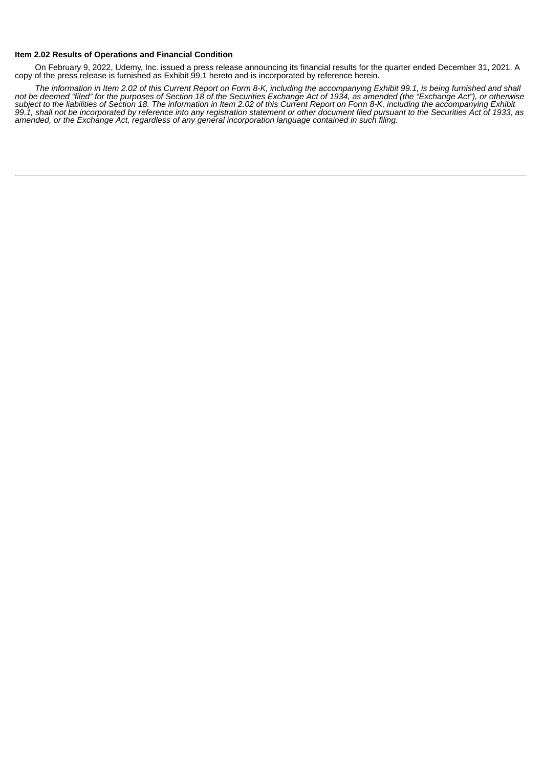#### **Item 2.02 Results of Operations and Financial Condition**

On February 9, 2022, Udemy, Inc. issued a press release announcing its financial results for the quarter ended December 31, 2021. A copy of the press release is furnished as Exhibit 99.1 hereto and is incorporated by reference herein.

The information in Item 2.02 of this Current Report on Form 8-K, including the accompanying Exhibit 99.1, is being furnished and shall not be deemed "filed" for the purposes of Section 18 of the Securities Exchange Act of 1934, as amended (the "Exchange Act"), or otherwise subject to the liabilities of Section 18. The information in Item 2.02 of this Current Report on Form 8-K, including the accompanying Exhibit 99.1, shall not be incorporated by reference into any registration statement or other document filed pursuant to the Securities Act of 1933, as *amended, or the Exchange Act, regardless of any general incorporation language contained in such filing.*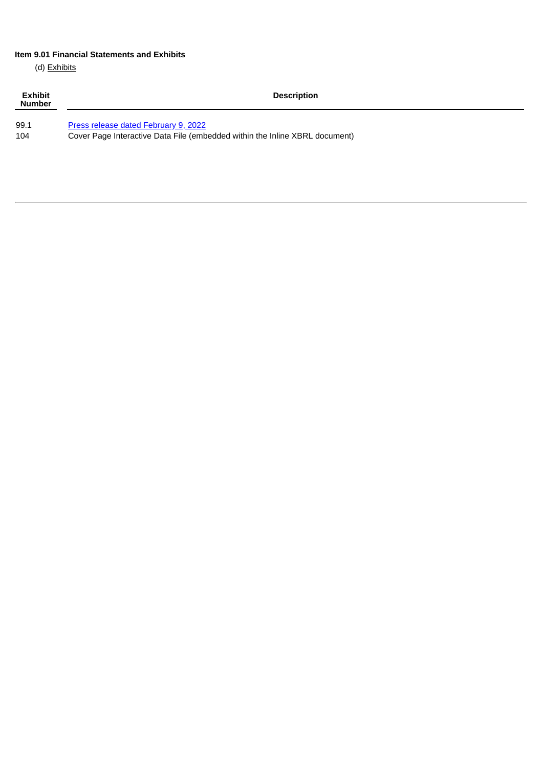#### **Item 9.01 Financial Statements and Exhibits**

(d) Exhibits

| <b>Exhibit</b><br><b>Number</b> | <b>Description</b>                                                          |
|---------------------------------|-----------------------------------------------------------------------------|
| 99.1                            | Press release dated February 9, 2022                                        |
| 104                             | Cover Page Interactive Data File (embedded within the Inline XBRL document) |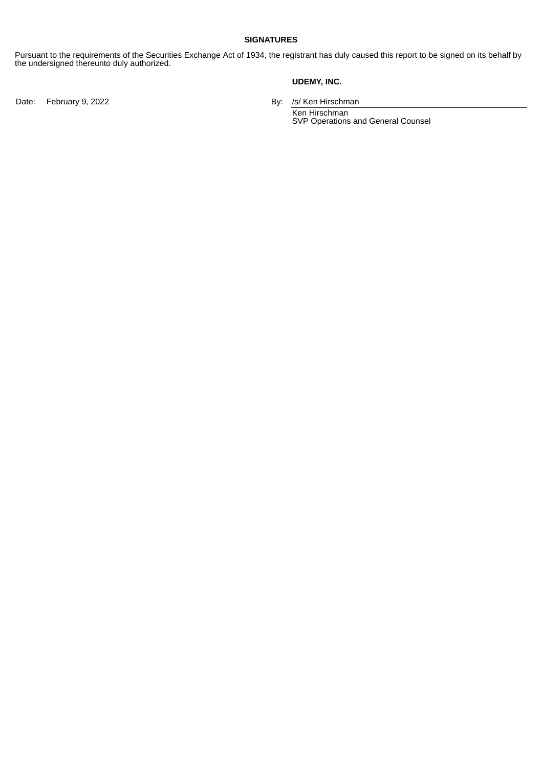#### **SIGNATURES**

Pursuant to the requirements of the Securities Exchange Act of 1934, the registrant has duly caused this report to be signed on its behalf by the undersigned thereunto duly authorized.

#### **UDEMY, INC.**

Date: February 9, 2022 **By: /s/ Ken Hirschman** 

Ken Hirschman SVP Operations and General Counsel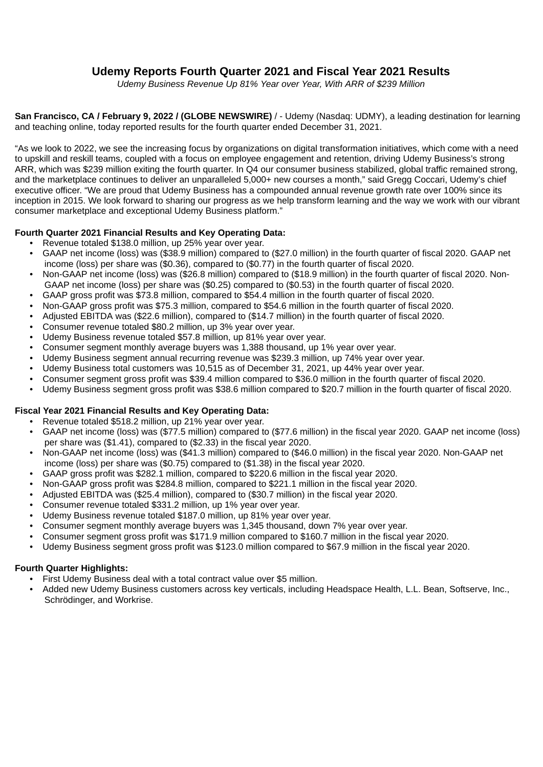## <span id="page-4-0"></span>**Udemy Reports Fourth Quarter 2021 and Fiscal Year 2021 Results**

*Udemy Business Revenue Up 81% Year over Year, With ARR of \$239 Million*

**San Francisco, CA / February 9, 2022 / (GLOBE NEWSWIRE)** / - Udemy (Nasdaq: UDMY), a leading destination for learning and teaching online, today reported results for the fourth quarter ended December 31, 2021.

"As we look to 2022, we see the increasing focus by organizations on digital transformation initiatives, which come with a need to upskill and reskill teams, coupled with a focus on employee engagement and retention, driving Udemy Business's strong ARR, which was \$239 million exiting the fourth quarter. In Q4 our consumer business stabilized, global traffic remained strong, and the marketplace continues to deliver an unparalleled 5,000+ new courses a month," said Gregg Coccari, Udemy's chief executive officer. "We are proud that Udemy Business has a compounded annual revenue growth rate over 100% since its inception in 2015. We look forward to sharing our progress as we help transform learning and the way we work with our vibrant consumer marketplace and exceptional Udemy Business platform."

#### **Fourth Quarter 2021 Financial Results and Key Operating Data:**

- Revenue totaled \$138.0 million, up 25% year over year.
- GAAP net income (loss) was (\$38.9 million) compared to (\$27.0 million) in the fourth quarter of fiscal 2020. GAAP net income (loss) per share was (\$0.36), compared to (\$0.77) in the fourth quarter of fiscal 2020.
- Non-GAAP net income (loss) was (\$26.8 million) compared to (\$18.9 million) in the fourth quarter of fiscal 2020. Non-GAAP net income (loss) per share was (\$0.25) compared to (\$0.53) in the fourth quarter of fiscal 2020.
- GAAP gross profit was \$73.8 million, compared to \$54.4 million in the fourth quarter of fiscal 2020.
- Non-GAAP gross profit was \$75.3 million, compared to \$54.6 million in the fourth quarter of fiscal 2020.
- Adjusted EBITDA was (\$22.6 million), compared to (\$14.7 million) in the fourth quarter of fiscal 2020.
- Consumer revenue totaled \$80.2 million, up 3% year over year.
- Udemy Business revenue totaled \$57.8 million, up 81% year over year.
- Consumer segment monthly average buyers was 1,388 thousand, up 1% year over year.
- Udemy Business segment annual recurring revenue was \$239.3 million, up 74% year over year.
- Udemy Business total customers was 10,515 as of December 31, 2021, up 44% year over year.
- Consumer segment gross profit was \$39.4 million compared to \$36.0 million in the fourth quarter of fiscal 2020.
- Udemy Business segment gross profit was \$38.6 million compared to \$20.7 million in the fourth quarter of fiscal 2020.

#### **Fiscal Year 2021 Financial Results and Key Operating Data:**

- Revenue totaled \$518.2 million, up 21% year over year.
- GAAP net income (loss) was (\$77.5 million) compared to (\$77.6 million) in the fiscal year 2020. GAAP net income (loss) per share was (\$1.41), compared to (\$2.33) in the fiscal year 2020.
- Non-GAAP net income (loss) was (\$41.3 million) compared to (\$46.0 million) in the fiscal year 2020. Non-GAAP net income (loss) per share was (\$0.75) compared to (\$1.38) in the fiscal year 2020.
- GAAP gross profit was \$282.1 million, compared to \$220.6 million in the fiscal year 2020.
- Non-GAAP gross profit was \$284.8 million, compared to \$221.1 million in the fiscal year 2020.
- Adjusted EBITDA was (\$25.4 million), compared to (\$30.7 million) in the fiscal year 2020.
- Consumer revenue totaled \$331.2 million, up 1% year over year.
- Udemy Business revenue totaled \$187.0 million, up 81% year over year.
- Consumer segment monthly average buyers was 1,345 thousand, down 7% year over year.
- Consumer segment gross profit was \$171.9 million compared to \$160.7 million in the fiscal year 2020.
- Udemy Business segment gross profit was \$123.0 million compared to \$67.9 million in the fiscal year 2020.

#### **Fourth Quarter Highlights:**

- First Udemy Business deal with a total contract value over \$5 million.
- Added new Udemy Business customers across key verticals, including Headspace Health, L.L. Bean, Softserve, Inc., Schrödinger, and Workrise.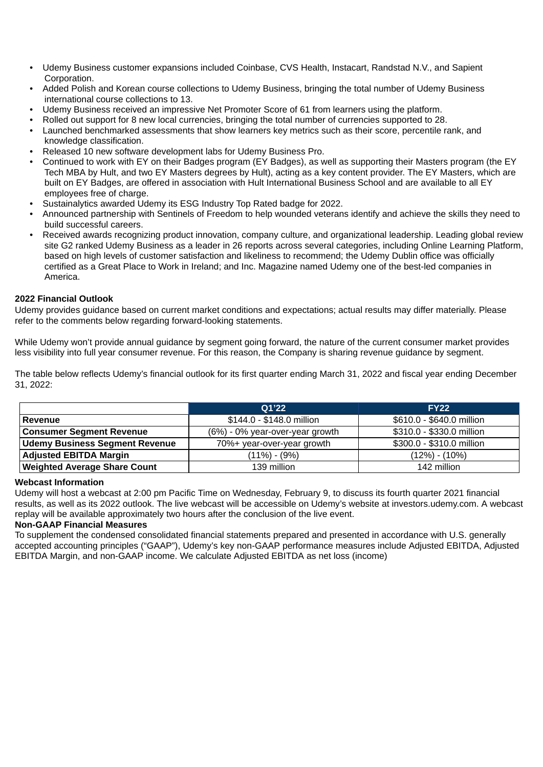- Udemy Business customer expansions included Coinbase, CVS Health, Instacart, Randstad N.V., and Sapient Corporation.
- Added Polish and Korean course collections to Udemy Business, bringing the total number of Udemy Business international course collections to 13.
- Udemy Business received an impressive Net Promoter Score of 61 from learners using the platform.
- Rolled out support for 8 new local currencies, bringing the total number of currencies supported to 28.
- Launched benchmarked assessments that show learners key metrics such as their score, percentile rank, and knowledge classification.
- Released 10 new software development labs for Udemy Business Pro.
- Continued to work with EY on their Badges program (EY Badges), as well as supporting their Masters program (the EY Tech MBA by Hult, and two EY Masters degrees by Hult), acting as a key content provider. The EY Masters, which are built on EY Badges, are offered in association with Hult International Business School and are available to all EY employees free of charge.
- Sustainalytics awarded Udemy its ESG Industry Top Rated badge for 2022.
- Announced partnership with Sentinels of Freedom to help wounded veterans identify and achieve the skills they need to build successful careers.
- Received awards recognizing product innovation, company culture, and organizational leadership. Leading global review site G2 ranked Udemy Business as a leader in 26 reports across several categories, including Online Learning Platform, based on high levels of customer satisfaction and likeliness to recommend; the Udemy Dublin office was officially certified as a Great Place to Work in Ireland; and Inc. Magazine named Udemy one of the best-led companies in America.

#### **2022 Financial Outlook**

Udemy provides guidance based on current market conditions and expectations; actual results may differ materially. Please refer to the comments below regarding forward-looking statements.

While Udemy won't provide annual guidance by segment going forward, the nature of the current consumer market provides less visibility into full year consumer revenue. For this reason, the Company is sharing revenue guidance by segment.

The table below reflects Udemy's financial outlook for its first quarter ending March 31, 2022 and fiscal year ending December 31, 2022:

|                                       | O1'22                           | <b>FY22</b>               |
|---------------------------------------|---------------------------------|---------------------------|
| Revenue                               | \$144.0 - \$148.0 million       | \$610.0 - \$640.0 million |
| <b>Consumer Segment Revenue</b>       | (6%) - 0% year-over-year growth | \$310.0 - \$330.0 million |
| <b>Udemy Business Segment Revenue</b> | 70%+ year-over-year growth      | \$300.0 - \$310.0 million |
| <b>Adjusted EBITDA Margin</b>         | $(11\%) - (9\%)$                | $(12\%) - (10\%)$         |
| <b>Weighted Average Share Count</b>   | 139 million                     | 142 million               |

#### **Webcast Information**

Udemy will host a webcast at 2:00 pm Pacific Time on Wednesday, February 9, to discuss its fourth quarter 2021 financial results, as well as its 2022 outlook. The live webcast will be accessible on Udemy's website at investors.udemy.com. A webcast replay will be available approximately two hours after the conclusion of the live event.

#### **Non-GAAP Financial Measures**

To supplement the condensed consolidated financial statements prepared and presented in accordance with U.S. generally accepted accounting principles ("GAAP"), Udemy's key non-GAAP performance measures include Adjusted EBITDA, Adjusted EBITDA Margin, and non-GAAP income. We calculate Adjusted EBITDA as net loss (income)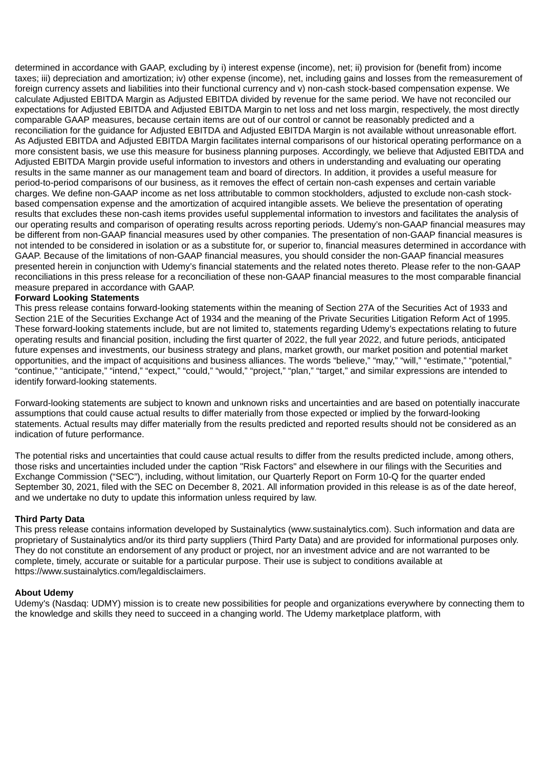determined in accordance with GAAP, excluding by i) interest expense (income), net; ii) provision for (benefit from) income taxes; iii) depreciation and amortization; iv) other expense (income), net, including gains and losses from the remeasurement of foreign currency assets and liabilities into their functional currency and v) non-cash stock-based compensation expense. We calculate Adjusted EBITDA Margin as Adjusted EBITDA divided by revenue for the same period. We have not reconciled our expectations for Adjusted EBITDA and Adjusted EBITDA Margin to net loss and net loss margin, respectively, the most directly comparable GAAP measures, because certain items are out of our control or cannot be reasonably predicted and a reconciliation for the guidance for Adjusted EBITDA and Adjusted EBITDA Margin is not available without unreasonable effort. As Adjusted EBITDA and Adjusted EBITDA Margin facilitates internal comparisons of our historical operating performance on a more consistent basis, we use this measure for business planning purposes. Accordingly, we believe that Adjusted EBITDA and Adjusted EBITDA Margin provide useful information to investors and others in understanding and evaluating our operating results in the same manner as our management team and board of directors. In addition, it provides a useful measure for period-to-period comparisons of our business, as it removes the effect of certain non-cash expenses and certain variable charges. We define non-GAAP income as net loss attributable to common stockholders, adjusted to exclude non-cash stockbased compensation expense and the amortization of acquired intangible assets. We believe the presentation of operating results that excludes these non-cash items provides useful supplemental information to investors and facilitates the analysis of our operating results and comparison of operating results across reporting periods. Udemy's non-GAAP financial measures may be different from non-GAAP financial measures used by other companies. The presentation of non-GAAP financial measures is not intended to be considered in isolation or as a substitute for, or superior to, financial measures determined in accordance with GAAP. Because of the limitations of non-GAAP financial measures, you should consider the non-GAAP financial measures presented herein in conjunction with Udemy's financial statements and the related notes thereto. Please refer to the non-GAAP reconciliations in this press release for a reconciliation of these non-GAAP financial measures to the most comparable financial measure prepared in accordance with GAAP.

#### **Forward Looking Statements**

This press release contains forward-looking statements within the meaning of Section 27A of the Securities Act of 1933 and Section 21E of the Securities Exchange Act of 1934 and the meaning of the Private Securities Litigation Reform Act of 1995. These forward-looking statements include, but are not limited to, statements regarding Udemy's expectations relating to future operating results and financial position, including the first quarter of 2022, the full year 2022, and future periods, anticipated future expenses and investments, our business strategy and plans, market growth, our market position and potential market opportunities, and the impact of acquisitions and business alliances. The words "believe," "may," "will," "estimate," "potential," "continue," "anticipate," "intend," "expect," "could," "would," "project," "plan," "target," and similar expressions are intended to identify forward-looking statements.

Forward-looking statements are subject to known and unknown risks and uncertainties and are based on potentially inaccurate assumptions that could cause actual results to differ materially from those expected or implied by the forward-looking statements. Actual results may differ materially from the results predicted and reported results should not be considered as an indication of future performance.

The potential risks and uncertainties that could cause actual results to differ from the results predicted include, among others, those risks and uncertainties included under the caption "Risk Factors" and elsewhere in our filings with the Securities and Exchange Commission ("SEC"), including, without limitation, our Quarterly Report on Form 10-Q for the quarter ended September 30, 2021, filed with the SEC on December 8, 2021. All information provided in this release is as of the date hereof, and we undertake no duty to update this information unless required by law.

#### **Third Party Data**

This press release contains information developed by Sustainalytics (www.sustainalytics.com). Such information and data are proprietary of Sustainalytics and/or its third party suppliers (Third Party Data) and are provided for informational purposes only. They do not constitute an endorsement of any product or project, nor an investment advice and are not warranted to be complete, timely, accurate or suitable for a particular purpose. Their use is subject to conditions available at https://www.sustainalytics.com/legaldisclaimers.

#### **About Udemy**

Udemy's (Nasdaq: UDMY) mission is to create new possibilities for people and organizations everywhere by connecting them to the knowledge and skills they need to succeed in a changing world. The Udemy marketplace platform, with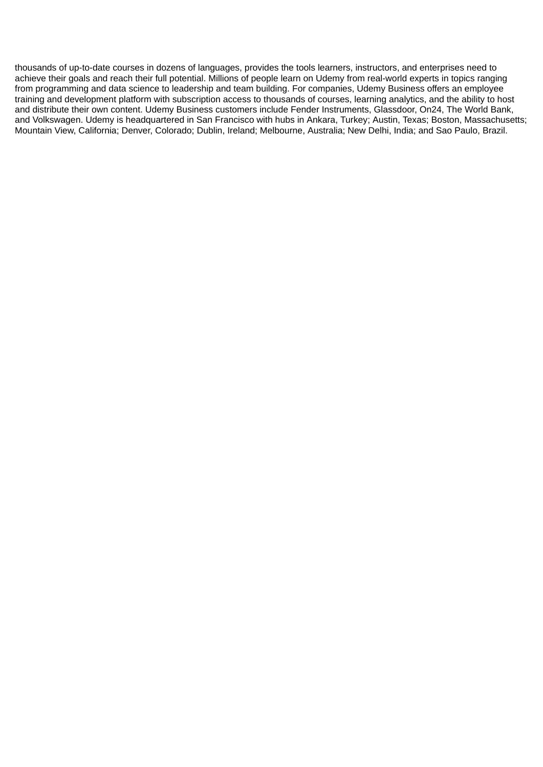thousands of up-to-date courses in dozens of languages, provides the tools learners, instructors, and enterprises need to achieve their goals and reach their full potential. Millions of people learn on Udemy from real-world experts in topics ranging from programming and data science to leadership and team building. For companies, Udemy Business offers an employee training and development platform with subscription access to thousands of courses, learning analytics, and the ability to host and distribute their own content. Udemy Business customers include Fender Instruments, Glassdoor, On24, The World Bank, and Volkswagen. Udemy is headquartered in San Francisco with hubs in Ankara, Turkey; Austin, Texas; Boston, Massachusetts; Mountain View, California; Denver, Colorado; Dublin, Ireland; Melbourne, Australia; New Delhi, India; and Sao Paulo, Brazil.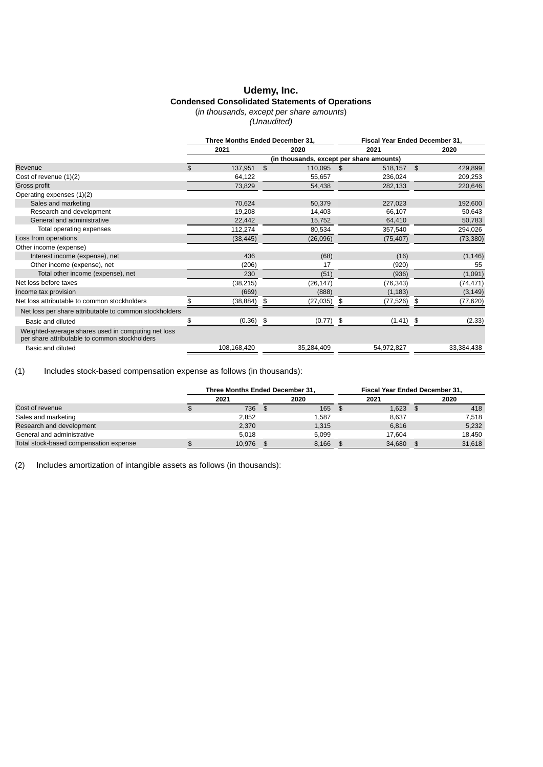### **Udemy, Inc. Condensed Consolidated Statements of Operations**

(*in thousands, except per share amounts*)

*(Unaudited)*

|                                                                                                     | Three Months Ended December 31, |             |    | Fiscal Year Ended December 31, |    |             |    |            |
|-----------------------------------------------------------------------------------------------------|---------------------------------|-------------|----|--------------------------------|----|-------------|----|------------|
|                                                                                                     |                                 | 2021        |    | 2020                           |    | 2021        |    | 2020       |
|                                                                                                     |                                 |             |    |                                |    |             |    |            |
| Revenue                                                                                             | \$.                             | 137,951 \$  |    | 110,095 \$                     |    | 518,157 \$  |    | 429,899    |
| Cost of revenue $(1)(2)$                                                                            |                                 | 64,122      |    | 55,657                         |    | 236,024     |    | 209,253    |
| Gross profit                                                                                        |                                 | 73,829      |    | 54,438                         |    | 282,133     |    | 220,646    |
| Operating expenses (1)(2)                                                                           |                                 |             |    |                                |    |             |    |            |
| Sales and marketing                                                                                 |                                 | 70,624      |    | 50,379                         |    | 227,023     |    | 192,600    |
| Research and development                                                                            |                                 | 19,208      |    | 14,403                         |    | 66,107      |    | 50,643     |
| General and administrative                                                                          |                                 | 22,442      |    | 15,752                         |    | 64,410      |    | 50,783     |
| Total operating expenses                                                                            |                                 | 112,274     |    | 80,534                         |    | 357,540     |    | 294,026    |
| Loss from operations                                                                                |                                 | (38, 445)   |    | (26,096)                       |    | (75, 407)   |    | (73, 380)  |
| Other income (expense)                                                                              |                                 |             |    |                                |    |             |    |            |
| Interest income (expense), net                                                                      |                                 | 436         |    | (68)                           |    | (16)        |    | (1, 146)   |
| Other income (expense), net                                                                         |                                 | (206)       |    | 17                             |    | (920)       |    | 55         |
| Total other income (expense), net                                                                   |                                 | 230         |    | (51)                           |    | (936)       |    | (1,091)    |
| Net loss before taxes                                                                               |                                 | (38, 215)   |    | (26, 147)                      |    | (76, 343)   |    | (74, 471)  |
| Income tax provision                                                                                |                                 | (669)       |    | (888)                          |    | (1, 183)    |    | (3, 149)   |
| Net loss attributable to common stockholders                                                        |                                 | (38,884)    | \$ | (27, 035)                      | \$ | (77,526)    | \$ | (77,620)   |
| Net loss per share attributable to common stockholders                                              |                                 |             |    |                                |    |             |    |            |
| Basic and diluted                                                                                   |                                 | $(0.36)$ \$ |    | $(0.77)$ \$                    |    | $(1.41)$ \$ |    | (2.33)     |
| Weighted-average shares used in computing net loss<br>per share attributable to common stockholders |                                 |             |    |                                |    |             |    |            |
| Basic and diluted                                                                                   |                                 | 108,168,420 |    | 35,284,409                     |    | 54,972,827  |    | 33,384,438 |

(1) Includes stock-based compensation expense as follows (in thousands):

|                                        | Three Months Ended December 31. |        |  |           | Fiscal Year Ended December 31. |            |  |        |
|----------------------------------------|---------------------------------|--------|--|-----------|--------------------------------|------------|--|--------|
|                                        |                                 | 2021   |  | 2020      |                                | 2021       |  | 2020   |
| Cost of revenue                        |                                 | 736 \$ |  | $165 - $$ |                                | $1,623$ \$ |  | 418    |
| Sales and marketing                    |                                 | 2.852  |  | 1.587     |                                | 8.637      |  | 7,518  |
| Research and development               |                                 | 2,370  |  | 1,315     |                                | 6,816      |  | 5,232  |
| General and administrative             |                                 | 5.018  |  | 5.099     |                                | 17.604     |  | 18.450 |
| Total stock-based compensation expense |                                 | 10.976 |  | 8.166     |                                | 34.680     |  | 31,618 |

(2) Includes amortization of intangible assets as follows (in thousands):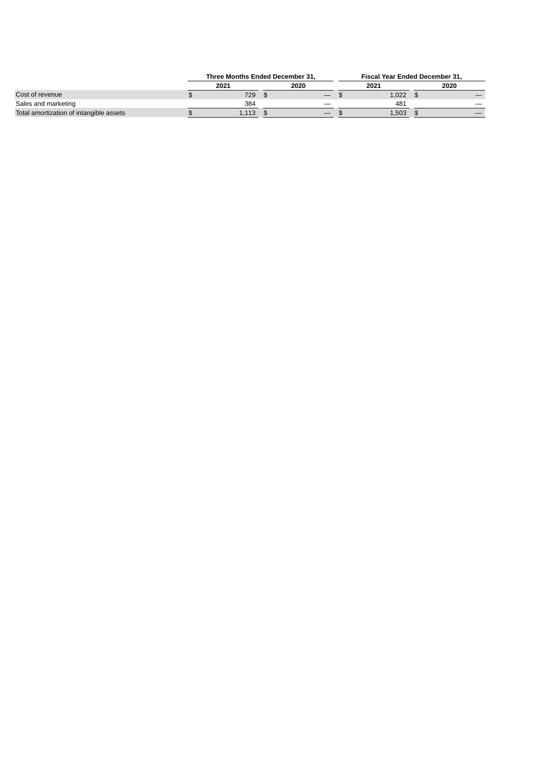|                                         | Three Months Ended December 31. |       |  |                                 | <b>Fiscal Year Ended December 31.</b> |       |  |      |
|-----------------------------------------|---------------------------------|-------|--|---------------------------------|---------------------------------------|-------|--|------|
|                                         |                                 | 2021  |  | 2020                            |                                       | 2021  |  | 2020 |
| Cost of revenue                         |                                 | 729   |  | $\hspace{0.1mm}-\hspace{0.1mm}$ |                                       | 1.022 |  |      |
| Sales and marketing                     |                                 | 384   |  | _                               |                                       | 481   |  |      |
| Total amortization of intangible assets |                                 | 1.113 |  | $\hspace{0.1mm}-\hspace{0.1mm}$ |                                       | 1,503 |  |      |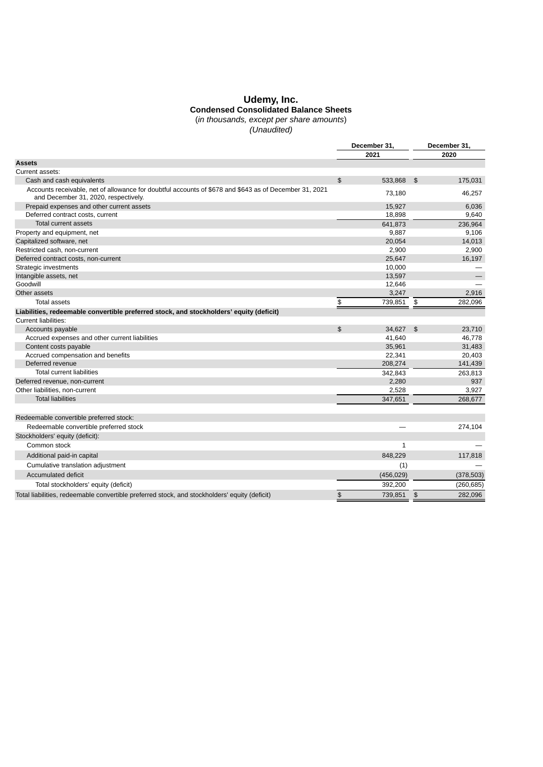#### **Udemy, Inc. Condensed Consolidated Balance Sheets**

(*in thousands, except per share amounts*)

*(Unaudited)*

|                                                                                                                                                | December 31,   |              |    | December 31, |  |  |
|------------------------------------------------------------------------------------------------------------------------------------------------|----------------|--------------|----|--------------|--|--|
|                                                                                                                                                |                | 2021         |    | 2020         |  |  |
| Assets                                                                                                                                         |                |              |    |              |  |  |
| Current assets:                                                                                                                                |                |              |    |              |  |  |
| Cash and cash equivalents                                                                                                                      | $\mathfrak{S}$ | 533,868      | \$ | 175,031      |  |  |
| Accounts receivable, net of allowance for doubtful accounts of \$678 and \$643 as of December 31, 2021<br>and December 31, 2020, respectively. |                | 73.180       |    | 46,257       |  |  |
| Prepaid expenses and other current assets                                                                                                      |                | 15,927       |    | 6,036        |  |  |
| Deferred contract costs, current                                                                                                               |                | 18,898       |    | 9,640        |  |  |
| Total current assets                                                                                                                           |                | 641,873      |    | 236,964      |  |  |
| Property and equipment, net                                                                                                                    |                | 9,887        |    | 9,106        |  |  |
| Capitalized software, net                                                                                                                      |                | 20,054       |    | 14,013       |  |  |
| Restricted cash, non-current                                                                                                                   |                | 2,900        |    | 2,900        |  |  |
| Deferred contract costs, non-current                                                                                                           |                | 25,647       |    | 16,197       |  |  |
| Strategic investments                                                                                                                          |                | 10,000       |    |              |  |  |
| Intangible assets, net                                                                                                                         |                | 13,597       |    |              |  |  |
| Goodwill                                                                                                                                       |                | 12,646       |    |              |  |  |
| Other assets                                                                                                                                   |                | 3,247        |    | 2,916        |  |  |
| <b>Total assets</b>                                                                                                                            | \$             | 739,851 \$   |    | 282,096      |  |  |
| Liabilities, redeemable convertible preferred stock, and stockholders' equity (deficit)                                                        |                |              |    |              |  |  |
| Current liabilities:                                                                                                                           |                |              |    |              |  |  |
| Accounts payable                                                                                                                               | $\mathfrak{S}$ | 34,627       | \$ | 23,710       |  |  |
| Accrued expenses and other current liabilities                                                                                                 |                | 41,640       |    | 46,778       |  |  |
| Content costs payable                                                                                                                          |                | 35,961       |    | 31,483       |  |  |
| Accrued compensation and benefits                                                                                                              |                | 22,341       |    | 20,403       |  |  |
| Deferred revenue                                                                                                                               |                | 208,274      |    | 141,439      |  |  |
| <b>Total current liabilities</b>                                                                                                               |                | 342,843      |    | 263,813      |  |  |
| Deferred revenue, non-current                                                                                                                  |                | 2,280        |    | 937          |  |  |
| Other liabilities, non-current                                                                                                                 |                | 2,528        |    | 3,927        |  |  |
| <b>Total liabilities</b>                                                                                                                       |                | 347,651      |    | 268,677      |  |  |
|                                                                                                                                                |                |              |    |              |  |  |
| Redeemable convertible preferred stock:                                                                                                        |                |              |    |              |  |  |
| Redeemable convertible preferred stock                                                                                                         |                |              |    | 274,104      |  |  |
| Stockholders' equity (deficit):                                                                                                                |                |              |    |              |  |  |
| Common stock                                                                                                                                   |                | $\mathbf{1}$ |    |              |  |  |
| Additional paid-in capital                                                                                                                     |                | 848,229      |    | 117,818      |  |  |
| Cumulative translation adjustment                                                                                                              |                | (1)          |    |              |  |  |
| Accumulated deficit                                                                                                                            |                | (456, 029)   |    | (378, 503)   |  |  |
|                                                                                                                                                |                |              |    |              |  |  |
| Total stockholders' equity (deficit)                                                                                                           |                | 392,200      |    | (260, 685)   |  |  |
| Total liabilities, redeemable convertible preferred stock, and stockholders' equity (deficit)                                                  | \$             | 739,851      | \$ | 282,096      |  |  |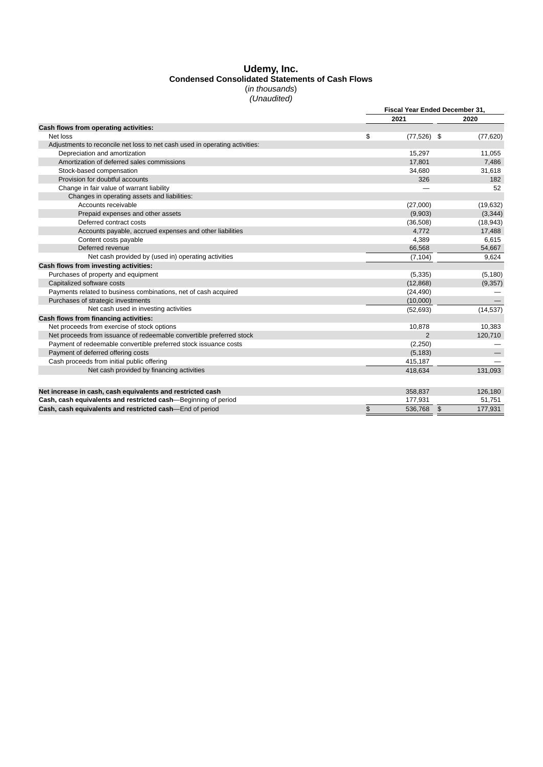#### **Udemy, Inc. Condensed Consolidated Statements of Cash Flows** (*in thousands*)

#### *(Unaudited)*

|                                                                             |                     | Fiscal Year Ended December 31, |
|-----------------------------------------------------------------------------|---------------------|--------------------------------|
|                                                                             | 2021                | 2020                           |
| Cash flows from operating activities:                                       |                     |                                |
| Net loss                                                                    | $(77,526)$ \$<br>\$ | (77, 620)                      |
| Adjustments to reconcile net loss to net cash used in operating activities: |                     |                                |
| Depreciation and amortization                                               | 15,297              | 11,055                         |
| Amortization of deferred sales commissions                                  | 17,801              | 7,486                          |
| Stock-based compensation                                                    | 34,680              | 31,618                         |
| Provision for doubtful accounts                                             | 326                 | 182                            |
| Change in fair value of warrant liability                                   |                     | 52                             |
| Changes in operating assets and liabilities:                                |                     |                                |
| Accounts receivable                                                         | (27,000)            | (19, 632)                      |
| Prepaid expenses and other assets                                           | (9,903)             | (3, 344)                       |
| Deferred contract costs                                                     | (36,508)            | (18, 943)                      |
| Accounts payable, accrued expenses and other liabilities                    | 4,772               | 17,488                         |
| Content costs payable                                                       | 4,389               | 6,615                          |
| Deferred revenue                                                            | 66,568              | 54,667                         |
| Net cash provided by (used in) operating activities                         | (7, 104)            | 9,624                          |
| Cash flows from investing activities:                                       |                     |                                |
| Purchases of property and equipment                                         | (5, 335)            | (5, 180)                       |
| Capitalized software costs                                                  | (12, 868)           | (9, 357)                       |
| Payments related to business combinations, net of cash acquired             | (24, 490)           |                                |
| Purchases of strategic investments                                          | (10,000)            |                                |
| Net cash used in investing activities                                       | (52, 693)           | (14, 537)                      |
| Cash flows from financing activities:                                       |                     |                                |
| Net proceeds from exercise of stock options                                 | 10,878              | 10,383                         |
| Net proceeds from issuance of redeemable convertible preferred stock        | $\overline{2}$      | 120,710                        |
| Payment of redeemable convertible preferred stock issuance costs            | (2,250)             |                                |
| Payment of deferred offering costs                                          | (5, 183)            |                                |
| Cash proceeds from initial public offering                                  | 415,187             |                                |
| Net cash provided by financing activities                                   | 418.634             | 131,093                        |
|                                                                             |                     |                                |
| Net increase in cash, cash equivalents and restricted cash                  | 358,837             | 126,180                        |
| Cash, cash equivalents and restricted cash—Beginning of period              | 177,931             | 51,751                         |
| Cash, cash equivalents and restricted cash—End of period                    | \$<br>536,768       | 177,931<br>$\frac{3}{2}$       |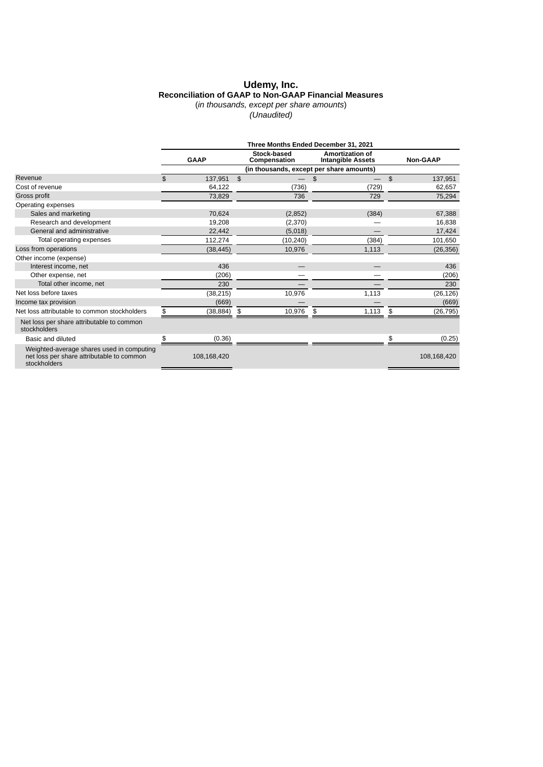#### **Udemy, Inc. Reconciliation of GAAP to Non-GAAP Financial Measures** (*in thousands, except per share amounts*)

*(Unaudited)*

|                                                                                                        | Three Months Ended December 31, 2021 |               |              |                                          |     |                                                    |                |             |  |
|--------------------------------------------------------------------------------------------------------|--------------------------------------|---------------|--------------|------------------------------------------|-----|----------------------------------------------------|----------------|-------------|--|
|                                                                                                        |                                      | <b>GAAP</b>   |              | <b>Stock-based</b><br>Compensation       |     | <b>Amortization of</b><br><b>Intangible Assets</b> |                | Non-GAAP    |  |
|                                                                                                        |                                      |               |              | (in thousands, except per share amounts) |     |                                                    |                |             |  |
| Revenue                                                                                                | \$                                   | 137,951       | $\mathbf{s}$ |                                          | \$  |                                                    | $\mathfrak{S}$ | 137,951     |  |
| Cost of revenue                                                                                        |                                      | 64,122        |              | (736)                                    |     | (729)                                              |                | 62,657      |  |
| Gross profit                                                                                           |                                      | 73,829        |              | 736                                      |     | 729                                                |                | 75,294      |  |
| Operating expenses                                                                                     |                                      |               |              |                                          |     |                                                    |                |             |  |
| Sales and marketing                                                                                    |                                      | 70,624        |              | (2,852)                                  |     | (384)                                              |                | 67,388      |  |
| Research and development                                                                               |                                      | 19,208        |              | (2,370)                                  |     |                                                    |                | 16,838      |  |
| General and administrative                                                                             |                                      | 22,442        |              | (5,018)                                  |     |                                                    |                | 17,424      |  |
| Total operating expenses                                                                               |                                      | 112,274       |              | (10, 240)                                |     | (384)                                              |                | 101,650     |  |
| Loss from operations                                                                                   |                                      | (38, 445)     |              | 10,976                                   |     | 1,113                                              |                | (26, 356)   |  |
| Other income (expense)                                                                                 |                                      |               |              |                                          |     |                                                    |                |             |  |
| Interest income, net                                                                                   |                                      | 436           |              |                                          |     |                                                    |                | 436         |  |
| Other expense, net                                                                                     |                                      | (206)         |              |                                          |     |                                                    |                | (206)       |  |
| Total other income, net                                                                                |                                      | 230           |              |                                          |     |                                                    |                | 230         |  |
| Net loss before taxes                                                                                  |                                      | (38, 215)     |              | 10,976                                   |     | 1,113                                              |                | (26, 126)   |  |
| Income tax provision                                                                                   |                                      | (669)         |              |                                          |     |                                                    |                | (669)       |  |
| Net loss attributable to common stockholders                                                           | \$                                   | $(38,884)$ \$ |              | 10,976                                   | -\$ | 1,113                                              | \$             | (26, 795)   |  |
| Net loss per share attributable to common<br>stockholders                                              |                                      |               |              |                                          |     |                                                    |                |             |  |
| Basic and diluted                                                                                      | \$                                   | (0.36)        |              |                                          |     |                                                    | \$             | (0.25)      |  |
| Weighted-average shares used in computing<br>net loss per share attributable to common<br>stockholders |                                      | 108,168,420   |              |                                          |     |                                                    |                | 108,168,420 |  |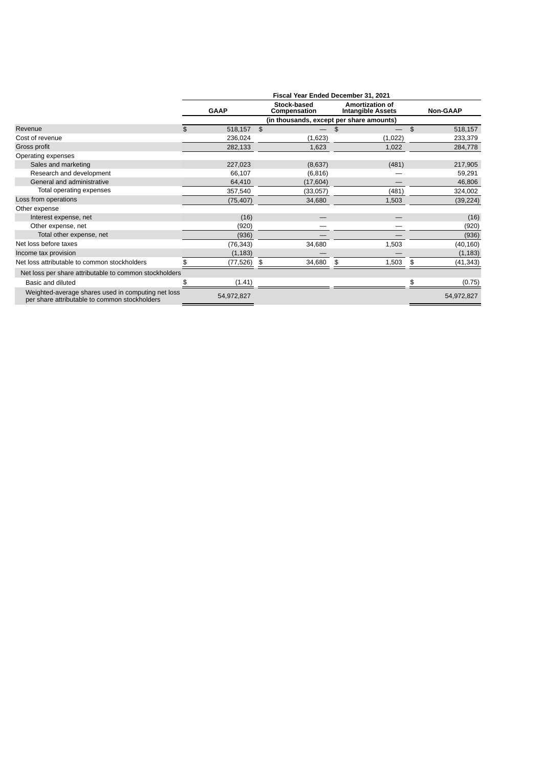|                                                                                                     | Fiscal Year Ended December 31, 2021 |             |                                    |                                                    |                |                 |  |  |  |  |
|-----------------------------------------------------------------------------------------------------|-------------------------------------|-------------|------------------------------------|----------------------------------------------------|----------------|-----------------|--|--|--|--|
|                                                                                                     |                                     | <b>GAAP</b> | <b>Stock-based</b><br>Compensation | <b>Amortization of</b><br><b>Intangible Assets</b> |                | <b>Non-GAAP</b> |  |  |  |  |
|                                                                                                     |                                     |             |                                    |                                                    |                |                 |  |  |  |  |
| Revenue                                                                                             | \$                                  | 518,157     | $\mathfrak{L}$                     |                                                    | $\mathfrak{S}$ | 518,157         |  |  |  |  |
| Cost of revenue                                                                                     |                                     | 236,024     | (1,623)                            | (1,022)                                            |                | 233,379         |  |  |  |  |
| Gross profit                                                                                        |                                     | 282,133     | 1,623                              | 1,022                                              |                | 284,778         |  |  |  |  |
| Operating expenses                                                                                  |                                     |             |                                    |                                                    |                |                 |  |  |  |  |
| Sales and marketing                                                                                 |                                     | 227,023     | (8,637)                            | (481)                                              |                | 217,905         |  |  |  |  |
| Research and development                                                                            |                                     | 66,107      | (6, 816)                           |                                                    |                | 59,291          |  |  |  |  |
| General and administrative                                                                          |                                     | 64,410      | (17, 604)                          |                                                    |                | 46,806          |  |  |  |  |
| Total operating expenses                                                                            |                                     | 357,540     | (33,057)                           | (481)                                              |                | 324,002         |  |  |  |  |
| Loss from operations                                                                                |                                     | (75, 407)   | 34,680                             | 1,503                                              |                | (39, 224)       |  |  |  |  |
| Other expense                                                                                       |                                     |             |                                    |                                                    |                |                 |  |  |  |  |
| Interest expense, net                                                                               |                                     | (16)        |                                    |                                                    |                | (16)            |  |  |  |  |
| Other expense, net                                                                                  |                                     | (920)       |                                    |                                                    |                | (920)           |  |  |  |  |
| Total other expense, net                                                                            |                                     | (936)       |                                    |                                                    |                | (936)           |  |  |  |  |
| Net loss before taxes                                                                               |                                     | (76, 343)   | 34,680                             | 1,503                                              |                | (40, 160)       |  |  |  |  |
| Income tax provision                                                                                |                                     | (1, 183)    |                                    |                                                    |                | (1, 183)        |  |  |  |  |
| Net loss attributable to common stockholders                                                        |                                     | (77,526)    | 34,680<br>\$                       | 1,503<br>\$                                        | \$             | (41, 343)       |  |  |  |  |
| Net loss per share attributable to common stockholders                                              |                                     |             |                                    |                                                    |                |                 |  |  |  |  |
| Basic and diluted                                                                                   |                                     | (1.41)      |                                    |                                                    | \$             | (0.75)          |  |  |  |  |
| Weighted-average shares used in computing net loss<br>per share attributable to common stockholders |                                     | 54,972,827  |                                    |                                                    |                | 54,972,827      |  |  |  |  |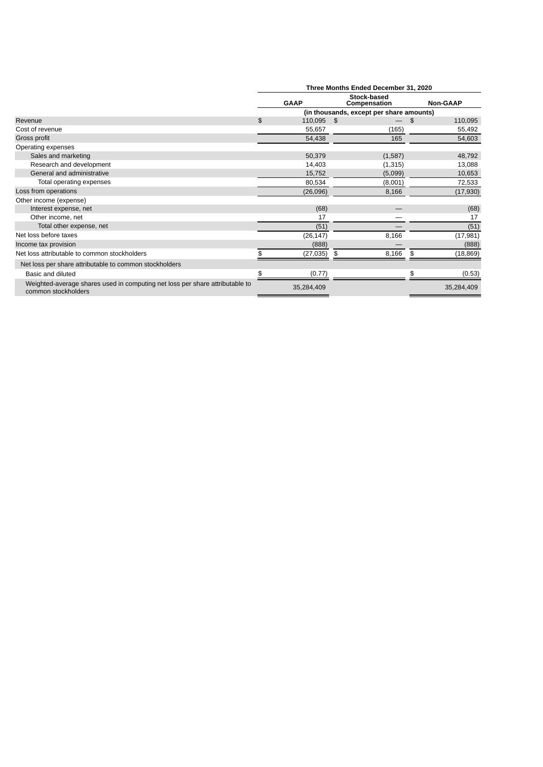|                                                                                                     | Three Months Ended December 31, 2020 |             |                                          |    |                 |  |  |
|-----------------------------------------------------------------------------------------------------|--------------------------------------|-------------|------------------------------------------|----|-----------------|--|--|
|                                                                                                     |                                      | <b>GAAP</b> | Stock-based<br>Compensation              |    | <b>Non-GAAP</b> |  |  |
|                                                                                                     |                                      |             | (in thousands, except per share amounts) |    |                 |  |  |
| Revenue                                                                                             | \$                                   | 110,095     | - \$                                     | \$ | 110,095         |  |  |
| Cost of revenue                                                                                     |                                      | 55,657      | (165)                                    |    | 55,492          |  |  |
| Gross profit                                                                                        |                                      | 54,438      | 165                                      |    | 54,603          |  |  |
| Operating expenses                                                                                  |                                      |             |                                          |    |                 |  |  |
| Sales and marketing                                                                                 |                                      | 50,379      | (1,587)                                  |    | 48,792          |  |  |
| Research and development                                                                            |                                      | 14,403      | (1, 315)                                 |    | 13,088          |  |  |
| General and administrative                                                                          |                                      | 15,752      | (5,099)                                  |    | 10,653          |  |  |
| Total operating expenses                                                                            |                                      | 80,534      | (8,001)                                  |    | 72,533          |  |  |
| Loss from operations                                                                                |                                      | (26,096)    | 8,166                                    |    | (17, 930)       |  |  |
| Other income (expense)                                                                              |                                      |             |                                          |    |                 |  |  |
| Interest expense, net                                                                               |                                      | (68)        |                                          |    | (68)            |  |  |
| Other income, net                                                                                   |                                      | 17          |                                          |    | 17              |  |  |
| Total other expense, net                                                                            |                                      | (51)        |                                          |    | (51)            |  |  |
| Net loss before taxes                                                                               |                                      | (26, 147)   | 8,166                                    |    | (17, 981)       |  |  |
| Income tax provision                                                                                |                                      | (888)       |                                          |    | (888)           |  |  |
| Net loss attributable to common stockholders                                                        |                                      | (27, 035)   | 8,166<br>\$                              | \$ | (18, 869)       |  |  |
| Net loss per share attributable to common stockholders                                              |                                      |             |                                          |    |                 |  |  |
| Basic and diluted                                                                                   | \$                                   | (0.77)      |                                          | \$ | (0.53)          |  |  |
| Weighted-average shares used in computing net loss per share attributable to<br>common stockholders |                                      | 35,284,409  |                                          |    | 35,284,409      |  |  |